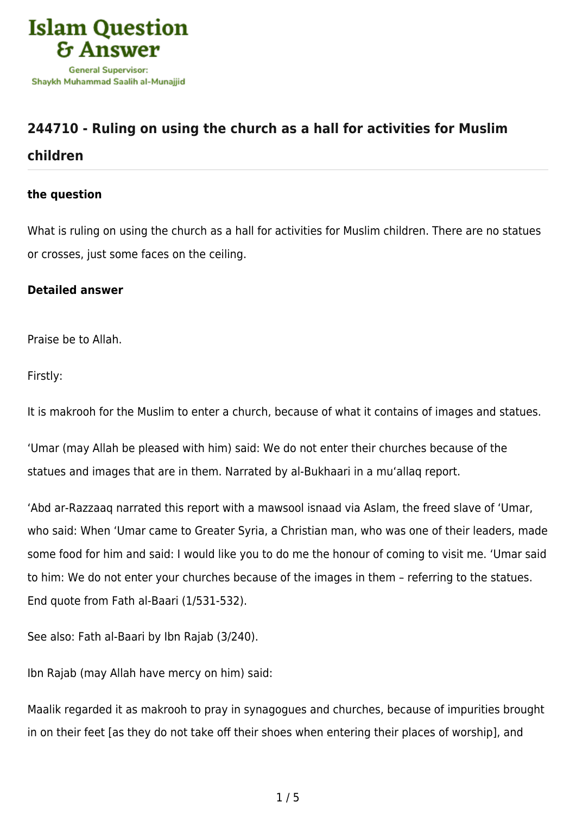

# **[244710 - Ruling on using the church as a hall for activities for Muslim](https://islamqa.com/en/answers/244710/ruling-on-using-the-church-as-a-hall-for-activities-for-muslim-children)**

## **[children](https://islamqa.com/en/answers/244710/ruling-on-using-the-church-as-a-hall-for-activities-for-muslim-children)**

### **the question**

What is ruling on using the church as a hall for activities for Muslim children. There are no statues or crosses, just some faces on the ceiling.

#### **Detailed answer**

Praise be to Allah.

Firstly:

It is makrooh for the Muslim to enter a church, because of what it contains of images and statues.

'Umar (may Allah be pleased with him) said: We do not enter their churches because of the statues and images that are in them. Narrated by al-Bukhaari in a mu'allaq report.

'Abd ar-Razzaaq narrated this report with a mawsool isnaad via Aslam, the freed slave of 'Umar, who said: When 'Umar came to Greater Syria, a Christian man, who was one of their leaders, made some food for him and said: I would like you to do me the honour of coming to visit me. 'Umar said to him: We do not enter your churches because of the images in them – referring to the statues. End quote from Fath al-Baari (1/531-532).

See also: Fath al-Baari by Ibn Rajab (3/240).

Ibn Rajab (may Allah have mercy on him) said:

Maalik regarded it as makrooh to pray in synagogues and churches, because of impurities brought in on their feet [as they do not take off their shoes when entering their places of worship], and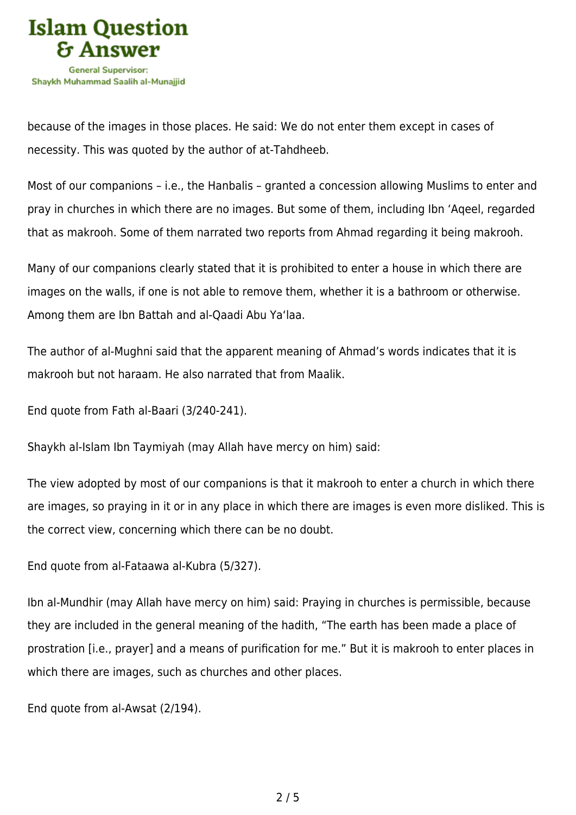

because of the images in those places. He said: We do not enter them except in cases of necessity. This was quoted by the author of at-Tahdheeb.

Most of our companions – i.e., the Hanbalis – granted a concession allowing Muslims to enter and pray in churches in which there are no images. But some of them, including Ibn 'Aqeel, regarded that as makrooh. Some of them narrated two reports from Ahmad regarding it being makrooh.

Many of our companions clearly stated that it is prohibited to enter a house in which there are images on the walls, if one is not able to remove them, whether it is a bathroom or otherwise. Among them are Ibn Battah and al-Qaadi Abu Ya'laa.

The author of al-Mughni said that the apparent meaning of Ahmad's words indicates that it is makrooh but not haraam. He also narrated that from Maalik.

End quote from Fath al-Baari (3/240-241).

Shaykh al-Islam Ibn Taymiyah (may Allah have mercy on him) said:

The view adopted by most of our companions is that it makrooh to enter a church in which there are images, so praying in it or in any place in which there are images is even more disliked. This is the correct view, concerning which there can be no doubt.

End quote from al-Fataawa al-Kubra (5/327).

Ibn al-Mundhir (may Allah have mercy on him) said: Praying in churches is permissible, because they are included in the general meaning of the hadith, "The earth has been made a place of prostration [i.e., prayer] and a means of purification for me." But it is makrooh to enter places in which there are images, such as churches and other places.

End quote from al-Awsat (2/194).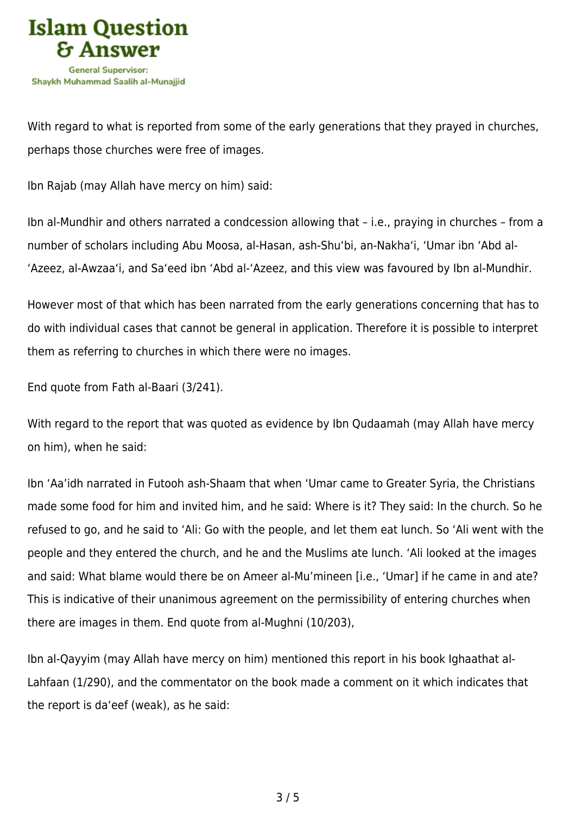

With regard to what is reported from some of the early generations that they prayed in churches, perhaps those churches were free of images.

Ibn Rajab (may Allah have mercy on him) said:

Ibn al-Mundhir and others narrated a condcession allowing that – i.e., praying in churches – from a number of scholars including Abu Moosa, al-Hasan, ash-Shu'bi, an-Nakha'i, 'Umar ibn 'Abd al- 'Azeez, al-Awzaa'i, and Sa'eed ibn 'Abd al-'Azeez, and this view was favoured by Ibn al-Mundhir.

However most of that which has been narrated from the early generations concerning that has to do with individual cases that cannot be general in application. Therefore it is possible to interpret them as referring to churches in which there were no images.

End quote from Fath al-Baari (3/241).

With regard to the report that was quoted as evidence by Ibn Qudaamah (may Allah have mercy on him), when he said:

Ibn 'Aa'idh narrated in Futooh ash-Shaam that when 'Umar came to Greater Syria, the Christians made some food for him and invited him, and he said: Where is it? They said: In the church. So he refused to go, and he said to 'Ali: Go with the people, and let them eat lunch. So 'Ali went with the people and they entered the church, and he and the Muslims ate lunch. 'Ali looked at the images and said: What blame would there be on Ameer al-Mu'mineen [i.e., 'Umar] if he came in and ate? This is indicative of their unanimous agreement on the permissibility of entering churches when there are images in them. End quote from al-Mughni (10/203),

Ibn al-Qayyim (may Allah have mercy on him) mentioned this report in his book Ighaathat al-Lahfaan (1/290), and the commentator on the book made a comment on it which indicates that the report is da'eef (weak), as he said: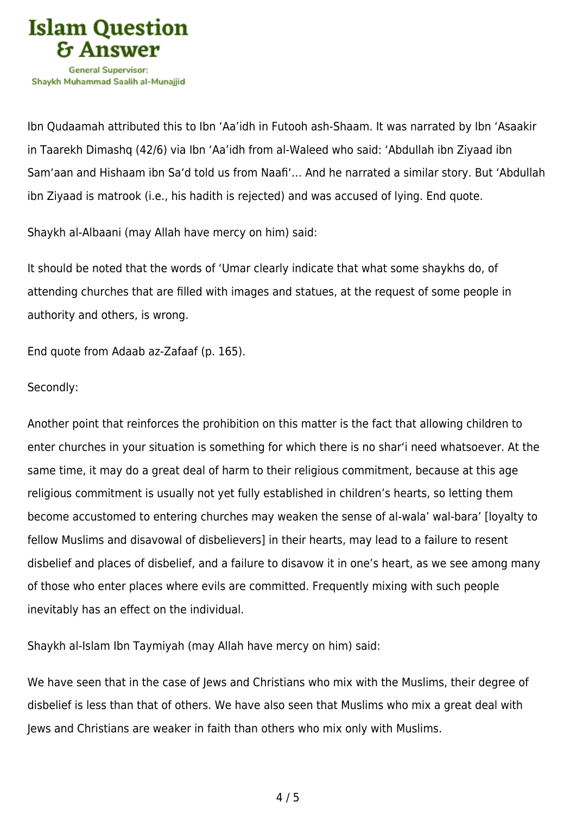

Ibn Qudaamah attributed this to Ibn 'Aa'idh in Futooh ash-Shaam. It was narrated by Ibn 'Asaakir in Taarekh Dimashq (42/6) via Ibn 'Aa'idh from al-Waleed who said: 'Abdullah ibn Ziyaad ibn Sam'aan and Hishaam ibn Sa'd told us from Naafi'… And he narrated a similar story. But 'Abdullah ibn Ziyaad is matrook (i.e., his hadith is rejected) and was accused of lying. End quote.

Shaykh al-Albaani (may Allah have mercy on him) said:

It should be noted that the words of 'Umar clearly indicate that what some shaykhs do, of attending churches that are filled with images and statues, at the request of some people in authority and others, is wrong.

End quote from Adaab az-Zafaaf (p. 165).

#### Secondly:

Another point that reinforces the prohibition on this matter is the fact that allowing children to enter churches in your situation is something for which there is no shar'i need whatsoever. At the same time, it may do a great deal of harm to their religious commitment, because at this age religious commitment is usually not yet fully established in children's hearts, so letting them become accustomed to entering churches may weaken the sense of al-wala' wal-bara' [loyalty to fellow Muslims and disavowal of disbelievers] in their hearts, may lead to a failure to resent disbelief and places of disbelief, and a failure to disavow it in one's heart, as we see among many of those who enter places where evils are committed. Frequently mixing with such people inevitably has an effect on the individual.

Shaykh al-Islam Ibn Taymiyah (may Allah have mercy on him) said:

We have seen that in the case of Jews and Christians who mix with the Muslims, their degree of disbelief is less than that of others. We have also seen that Muslims who mix a great deal with Jews and Christians are weaker in faith than others who mix only with Muslims.